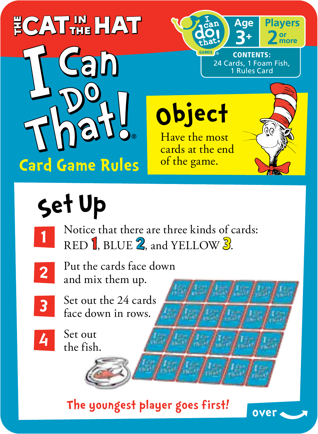## **ECATING HAT**



Object Have the most

cards at the end<br>of the game.



**Players** or<br>more

CONTENTS: 24 Cards, 1 Foam Fish, **LRules Card** 

Aae

# Set Up

Notice that there are three kinds of cards: RED<sup>1</sup>, BLUE 2, and YELLOW 3.



**1**

Put the cards face down and mix them up.



Set out the 24 cards face down in rows.

**4**

Set out the fish.

**The youngest player goes first! over**